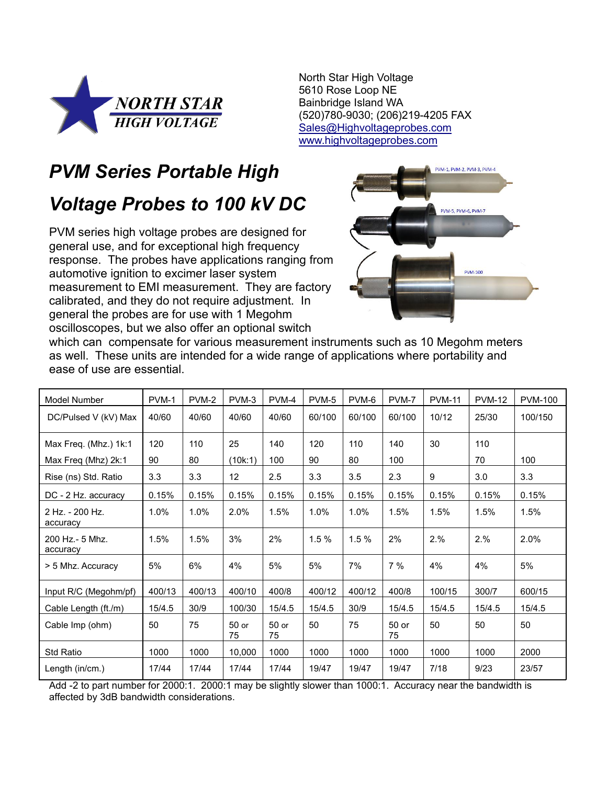

North Star High Voltage 5610 Rose Loop NE Bainbridge Island WA (520)780-9030; (206)219-4205 FAX [Sales@Highvoltageprobes.com](mailto:73764.227@Compuserve.com) [www.highvoltageprobes.com](http://www.highvoltageprobes.com/)

## *PVM Series Portable High*

## *Voltage Probes to 100 kV DC*

PVM series high voltage probes are designed for general use, and for exceptional high frequency response. The probes have applications ranging from automotive ignition to excimer laser system measurement to EMI measurement. They are factory calibrated, and they do not require adjustment. In general the probes are for use with 1 Megohm oscilloscopes, but we also offer an optional switch



which can compensate for various measurement instruments such as 10 Megohm meters as well. These units are intended for a wide range of applications where portability and ease of use are essential.

| <b>Model Number</b>         | PVM-1  | PVM-2  | PVM-3             | PVM-4         | PVM-5  | PVM-6  | PVM-7       | <b>PVM-11</b> | <b>PVM-12</b> | <b>PVM-100</b> |
|-----------------------------|--------|--------|-------------------|---------------|--------|--------|-------------|---------------|---------------|----------------|
| DC/Pulsed V (kV) Max        | 40/60  | 40/60  | 40/60             | 40/60         | 60/100 | 60/100 | 60/100      | 10/12         | 25/30         | 100/150        |
| Max Freq. (Mhz.) 1k:1       | 120    | 110    | 25                | 140           | 120    | 110    | 140         | 30            | 110           |                |
| Max Freq (Mhz) 2k:1         | 90     | 80     | (10k:1)           | 100           | 90     | 80     | 100         |               | 70            | 100            |
| Rise (ns) Std. Ratio        | 3.3    | 3.3    | $12 \overline{ }$ | 2.5           | 3.3    | 3.5    | 2.3         | 9             | 3.0           | 3.3            |
| DC - 2 Hz. accuracy         | 0.15%  | 0.15%  | 0.15%             | 0.15%         | 0.15%  | 0.15%  | 0.15%       | 0.15%         | 0.15%         | 0.15%          |
| 2 Hz. - 200 Hz.<br>accuracy | 1.0%   | 1.0%   | 2.0%              | 1.5%          | 1.0%   | 1.0%   | 1.5%        | 1.5%          | 1.5%          | 1.5%           |
| 200 Hz.- 5 Mhz.<br>accuracy | 1.5%   | 1.5%   | 3%                | 2%            | 1.5%   | 1.5%   | 2%          | 2.%           | 2.%           | 2.0%           |
| > 5 Mhz. Accuracy           | 5%     | 6%     | 4%                | 5%            | 5%     | 7%     | 7%          | 4%            | 4%            | 5%             |
| Input R/C (Megohm/pf)       | 400/13 | 400/13 | 400/10            | 400/8         | 400/12 | 400/12 | 400/8       | 100/15        | 300/7         | 600/15         |
| Cable Length (ft./m)        | 15/4.5 | 30/9   | 100/30            | 15/4.5        | 15/4.5 | 30/9   | 15/4.5      | 15/4.5        | 15/4.5        | 15/4.5         |
| Cable Imp (ohm)             | 50     | 75     | $50$ or<br>75     | $50$ or<br>75 | 50     | 75     | 50 or<br>75 | 50            | 50            | 50             |
| <b>Std Ratio</b>            | 1000   | 1000   | 10,000            | 1000          | 1000   | 1000   | 1000        | 1000          | 1000          | 2000           |
| Length (in/cm.)             | 17/44  | 17/44  | 17/44             | 17/44         | 19/47  | 19/47  | 19/47       | 7/18          | 9/23          | 23/57          |

Add -2 to part number for 2000:1. 2000:1 may be slightly slower than 1000:1. Accuracy near the bandwidth is affected by 3dB bandwidth considerations.